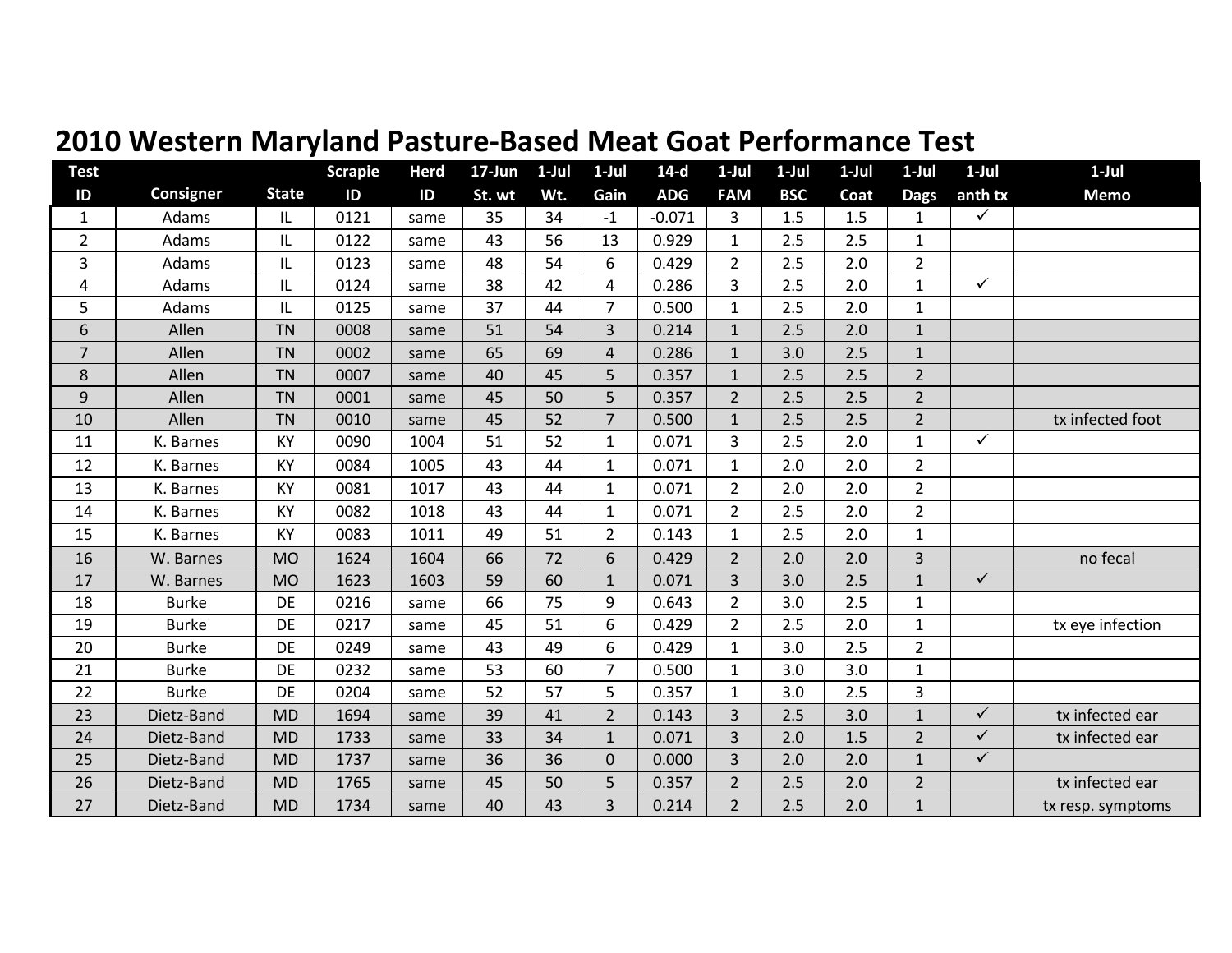| <b>Test</b>    |                  |              | <b>Scrapie</b> | <b>Herd</b> | $17 - Jun$ | $1-Jul$ | $1-Jul$        | $14-d$     | $1-Jul$        | $1-Jul$    | $1-Jul$ | $1-Jul$        | $1-Jul$      | $1-Jul$           |
|----------------|------------------|--------------|----------------|-------------|------------|---------|----------------|------------|----------------|------------|---------|----------------|--------------|-------------------|
| $\mathsf{ID}$  | <b>Consigner</b> | <b>State</b> | ID             | ID          | St. wt     | Wt.     | Gain           | <b>ADG</b> | <b>FAM</b>     | <b>BSC</b> | Coat    | <b>Dags</b>    | anth tx      | <b>Memo</b>       |
| $\mathbf{1}$   | Adams            | IL.          | 0121           | same        | 35         | 34      | $-1$           | $-0.071$   | 3              | 1.5        | 1.5     | $\mathbf{1}$   | $\checkmark$ |                   |
| $\overline{2}$ | Adams            | IL           | 0122           | same        | 43         | 56      | 13             | 0.929      | $\mathbf{1}$   | 2.5        | 2.5     | 1              |              |                   |
| 3              | Adams            | IL           | 0123           | same        | 48         | 54      | $6\,$          | 0.429      | $\overline{2}$ | 2.5        | 2.0     | $\overline{2}$ |              |                   |
| 4              | Adams            | IL           | 0124           | same        | 38         | 42      | 4              | 0.286      | 3              | 2.5        | 2.0     | $\mathbf{1}$   | $\checkmark$ |                   |
| 5              | Adams            | IL.          | 0125           | same        | 37         | 44      | $\overline{7}$ | 0.500      | $\mathbf{1}$   | 2.5        | 2.0     | $\mathbf{1}$   |              |                   |
| 6              | Allen            | <b>TN</b>    | 0008           | same        | 51         | 54      | 3              | 0.214      | $\mathbf{1}$   | 2.5        | 2.0     | $1\,$          |              |                   |
| $\overline{7}$ | Allen            | <b>TN</b>    | 0002           | same        | 65         | 69      | $\sqrt{4}$     | 0.286      | $\mathbf 1$    | 3.0        | 2.5     | $\mathbf 1$    |              |                   |
| 8              | Allen            | <b>TN</b>    | 0007           | same        | 40         | 45      | 5              | 0.357      | $\mathbf{1}$   | 2.5        | 2.5     | $\overline{2}$ |              |                   |
| 9              | Allen            | <b>TN</b>    | 0001           | same        | 45         | 50      | 5              | 0.357      | $\overline{2}$ | 2.5        | 2.5     | $\overline{2}$ |              |                   |
| 10             | Allen            | <b>TN</b>    | 0010           | same        | 45         | 52      | $\overline{7}$ | 0.500      | $\mathbf{1}$   | 2.5        | 2.5     | $\overline{2}$ |              | tx infected foot  |
| 11             | K. Barnes        | KY           | 0090           | 1004        | 51         | 52      | $\mathbf{1}$   | 0.071      | 3              | 2.5        | 2.0     | $\mathbf{1}$   | $\checkmark$ |                   |
| 12             | K. Barnes        | KY           | 0084           | 1005        | 43         | 44      | $\mathbf{1}$   | 0.071      | $\mathbf{1}$   | 2.0        | 2.0     | $\overline{2}$ |              |                   |
| 13             | K. Barnes        | KY           | 0081           | 1017        | 43         | 44      | $\mathbf{1}$   | 0.071      | 2              | 2.0        | 2.0     | $\overline{2}$ |              |                   |
| 14             | K. Barnes        | KY           | 0082           | 1018        | 43         | 44      | $\mathbf{1}$   | 0.071      | $\overline{2}$ | 2.5        | 2.0     | $\overline{2}$ |              |                   |
| 15             | K. Barnes        | KY           | 0083           | 1011        | 49         | 51      | $\overline{2}$ | 0.143      | $\mathbf{1}$   | 2.5        | 2.0     | $\mathbf 1$    |              |                   |
| 16             | W. Barnes        | <b>MO</b>    | 1624           | 1604        | 66         | 72      | 6              | 0.429      | $\overline{2}$ | 2.0        | 2.0     | 3              |              | no fecal          |
| 17             | W. Barnes        | <b>MO</b>    | 1623           | 1603        | 59         | 60      | $\mathbf{1}$   | 0.071      | $\overline{3}$ | 3.0        | 2.5     | $\mathbf{1}$   | $\checkmark$ |                   |
| 18             | <b>Burke</b>     | DE           | 0216           | same        | 66         | 75      | 9              | 0.643      | $\overline{2}$ | 3.0        | 2.5     | $\mathbf 1$    |              |                   |
| 19             | <b>Burke</b>     | DE           | 0217           | same        | 45         | 51      | 6              | 0.429      | $\overline{2}$ | 2.5        | 2.0     | $\mathbf{1}$   |              | tx eye infection  |
| 20             | <b>Burke</b>     | DE           | 0249           | same        | 43         | 49      | 6              | 0.429      | $\mathbf{1}$   | 3.0        | 2.5     | $\overline{2}$ |              |                   |
| 21             | <b>Burke</b>     | DE           | 0232           | same        | 53         | 60      | $\overline{7}$ | 0.500      | $\mathbf{1}$   | 3.0        | 3.0     | $\mathbf{1}$   |              |                   |
| 22             | <b>Burke</b>     | DE           | 0204           | same        | 52         | 57      | 5              | 0.357      | $\mathbf{1}$   | 3.0        | 2.5     | 3              |              |                   |
| 23             | Dietz-Band       | <b>MD</b>    | 1694           | same        | 39         | 41      | $\overline{2}$ | 0.143      | $\overline{3}$ | 2.5        | 3.0     | $\mathbf{1}$   | $\checkmark$ | tx infected ear   |
| 24             | Dietz-Band       | <b>MD</b>    | 1733           | same        | 33         | 34      | $\mathbf{1}$   | 0.071      | $\overline{3}$ | 2.0        | 1.5     | $\overline{2}$ | $\checkmark$ | tx infected ear   |
| 25             | Dietz-Band       | <b>MD</b>    | 1737           | same        | 36         | 36      | $\mathbf{0}$   | 0.000      | $\overline{3}$ | 2.0        | 2.0     | $\mathbf{1}$   | $\checkmark$ |                   |
| 26             | Dietz-Band       | <b>MD</b>    | 1765           | same        | 45         | 50      | 5              | 0.357      | $\overline{2}$ | 2.5        | 2.0     | $\overline{2}$ |              | tx infected ear   |
| 27             | Dietz-Band       | <b>MD</b>    | 1734           | same        | 40         | 43      | $\overline{3}$ | 0.214      | $\overline{2}$ | 2.5        | 2.0     | $\mathbf{1}$   |              | tx resp. symptoms |

## **2010 Western Maryland Pasture‐Based Meat Goat Performance Test**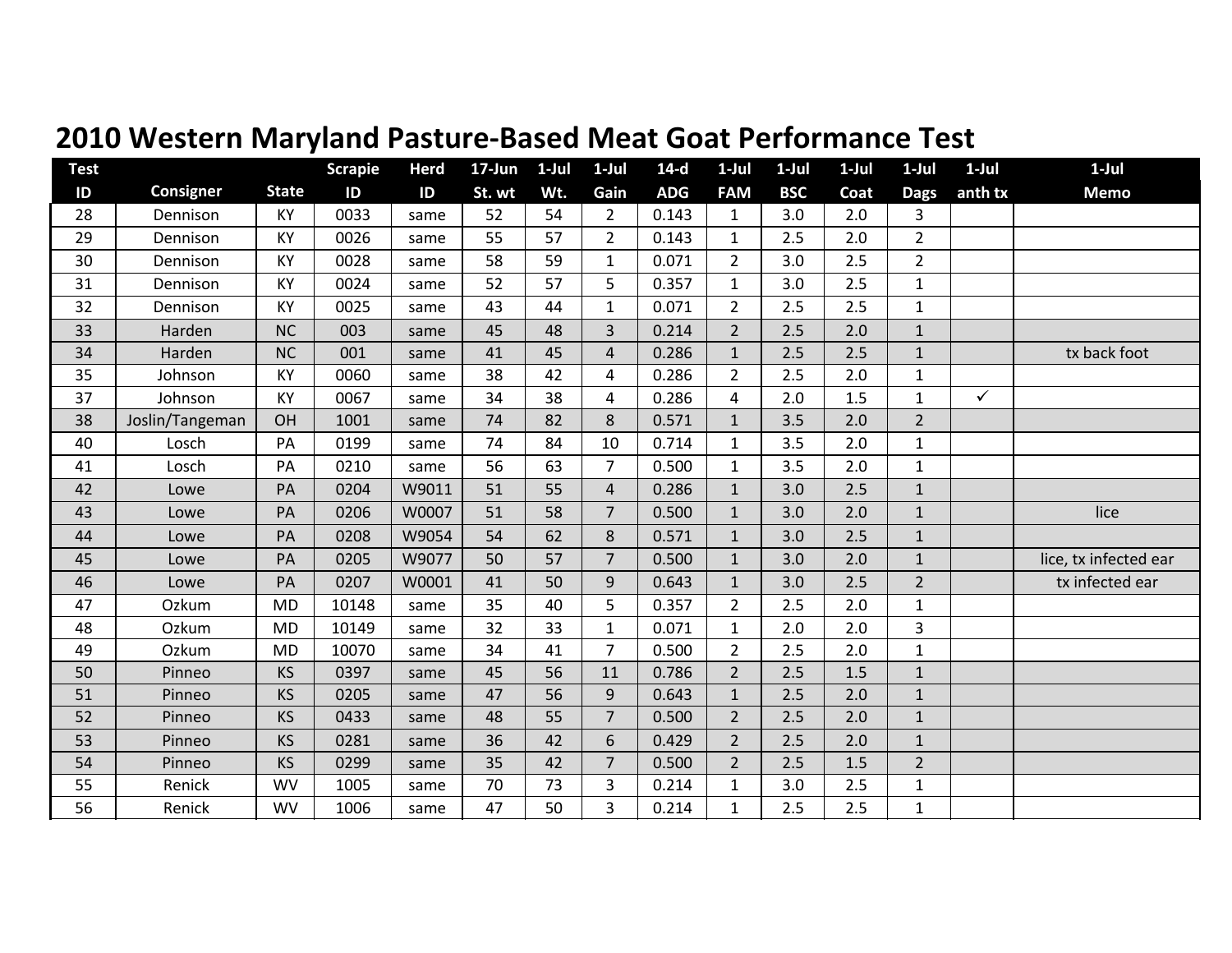|  | 2010 Western Maryland Pasture-Based Meat Goat Performance Test |  |  |
|--|----------------------------------------------------------------|--|--|
|  |                                                                |  |  |

| <b>Test</b> |                 |              | <b>Scrapie</b> | <b>Herd</b>   | 17-Jun | $1-Jul$ | $1-Jul$        | $14-d$     | $1-Jul$        | $1-Jul$    | $1-Jul$ | $1-Jul$        | $1-Jul$      | $1-Jul$               |
|-------------|-----------------|--------------|----------------|---------------|--------|---------|----------------|------------|----------------|------------|---------|----------------|--------------|-----------------------|
| ID          | Consigner       | <b>State</b> | ID             | $\mathsf{ID}$ | St. wt | Wt.     | Gain           | <b>ADG</b> | <b>FAM</b>     | <b>BSC</b> | Coat    | <b>Dags</b>    | anth tx      | <b>Memo</b>           |
| 28          | Dennison        | KY           | 0033           | same          | 52     | 54      | $\overline{2}$ | 0.143      | $\mathbf{1}$   | 3.0        | 2.0     | 3              |              |                       |
| 29          | Dennison        | KY           | 0026           | same          | 55     | 57      | $\overline{2}$ | 0.143      | $\mathbf{1}$   | 2.5        | 2.0     | $\overline{2}$ |              |                       |
| 30          | Dennison        | KY           | 0028           | same          | 58     | 59      | $\mathbf{1}$   | 0.071      | $\overline{2}$ | 3.0        | 2.5     | $\overline{2}$ |              |                       |
| 31          | Dennison        | KY           | 0024           | same          | 52     | 57      | 5              | 0.357      | $\mathbf{1}$   | 3.0        | 2.5     | $\mathbf{1}$   |              |                       |
| 32          | Dennison        | KY           | 0025           | same          | 43     | 44      | $\mathbf{1}$   | 0.071      | $\overline{2}$ | 2.5        | 2.5     | $\mathbf{1}$   |              |                       |
| 33          | Harden          | <b>NC</b>    | 003            | same          | 45     | 48      | 3              | 0.214      | $\overline{2}$ | 2.5        | 2.0     | $1\,$          |              |                       |
| 34          | Harden          | <b>NC</b>    | 001            | same          | 41     | 45      | $\overline{4}$ | 0.286      | $\mathbf{1}$   | 2.5        | 2.5     | $\mathbf{1}$   |              | tx back foot          |
| 35          | Johnson         | KY           | 0060           | same          | 38     | 42      | 4              | 0.286      | $\overline{2}$ | 2.5        | 2.0     | $\mathbf{1}$   |              |                       |
| 37          | Johnson         | KY           | 0067           | same          | 34     | 38      | 4              | 0.286      | $\overline{4}$ | 2.0        | 1.5     | $\mathbf{1}$   | $\checkmark$ |                       |
| 38          | Joslin/Tangeman | <b>OH</b>    | 1001           | same          | 74     | 82      | 8              | 0.571      | $\mathbf{1}$   | 3.5        | 2.0     | $\overline{2}$ |              |                       |
| 40          | Losch           | PA           | 0199           | same          | 74     | 84      | 10             | 0.714      | $\mathbf{1}$   | 3.5        | 2.0     | $\mathbf{1}$   |              |                       |
| 41          | Losch           | PA           | 0210           | same          | 56     | 63      | $\overline{7}$ | 0.500      | $\mathbf{1}$   | 3.5        | 2.0     | $1\,$          |              |                       |
| 42          | Lowe            | PA           | 0204           | W9011         | 51     | 55      | $\overline{4}$ | 0.286      | $1\,$          | 3.0        | 2.5     | $1\,$          |              |                       |
| 43          | Lowe            | PA           | 0206           | W0007         | 51     | 58      | $\overline{7}$ | 0.500      | $\mathbf{1}$   | 3.0        | 2.0     | $\mathbf 1$    |              | lice                  |
| 44          | Lowe            | PA           | 0208           | W9054         | 54     | 62      | 8              | 0.571      | $\mathbf{1}$   | 3.0        | 2.5     | $\mathbf{1}$   |              |                       |
| 45          | Lowe            | PA           | 0205           | W9077         | 50     | 57      | $\overline{7}$ | 0.500      | $\mathbf{1}$   | 3.0        | 2.0     | $\mathbf 1$    |              | lice, tx infected ear |
| 46          | Lowe            | PA           | 0207           | W0001         | 41     | 50      | 9              | 0.643      | $\mathbf{1}$   | 3.0        | 2.5     | $\overline{2}$ |              | tx infected ear       |
| 47          | Ozkum           | <b>MD</b>    | 10148          | same          | 35     | 40      | 5              | 0.357      | $\overline{2}$ | 2.5        | 2.0     | $\mathbf{1}$   |              |                       |
| 48          | Ozkum           | <b>MD</b>    | 10149          | same          | 32     | 33      | $\mathbf{1}$   | 0.071      | $\mathbf{1}$   | 2.0        | 2.0     | $\overline{3}$ |              |                       |
| 49          | Ozkum           | <b>MD</b>    | 10070          | same          | 34     | 41      | $\overline{7}$ | 0.500      | $\overline{2}$ | 2.5        | 2.0     | $\mathbf{1}$   |              |                       |
| 50          | Pinneo          | <b>KS</b>    | 0397           | same          | 45     | 56      | 11             | 0.786      | $\overline{2}$ | 2.5        | 1.5     | $1\,$          |              |                       |
| 51          | Pinneo          | <b>KS</b>    | 0205           | same          | 47     | 56      | 9              | 0.643      | $\mathbf{1}$   | 2.5        | 2.0     | $\mathbf{1}$   |              |                       |
| 52          | Pinneo          | <b>KS</b>    | 0433           | same          | 48     | 55      | $\overline{7}$ | 0.500      | $\overline{2}$ | 2.5        | 2.0     | $\mathbf{1}$   |              |                       |
| 53          | Pinneo          | <b>KS</b>    | 0281           | same          | 36     | 42      | 6              | 0.429      | $\overline{2}$ | 2.5        | 2.0     | $\mathbf 1$    |              |                       |
| 54          | Pinneo          | <b>KS</b>    | 0299           | same          | 35     | 42      | $\overline{7}$ | 0.500      | $\overline{2}$ | 2.5        | 1.5     | $\overline{2}$ |              |                       |
| 55          | Renick          | <b>WV</b>    | 1005           | same          | 70     | 73      | 3              | 0.214      | $\mathbf{1}$   | 3.0        | 2.5     | $\mathbf{1}$   |              |                       |
| 56          | Renick          | <b>WV</b>    | 1006           | same          | 47     | 50      | 3              | 0.214      | $\mathbf{1}$   | 2.5        | 2.5     | $\mathbf{1}$   |              |                       |